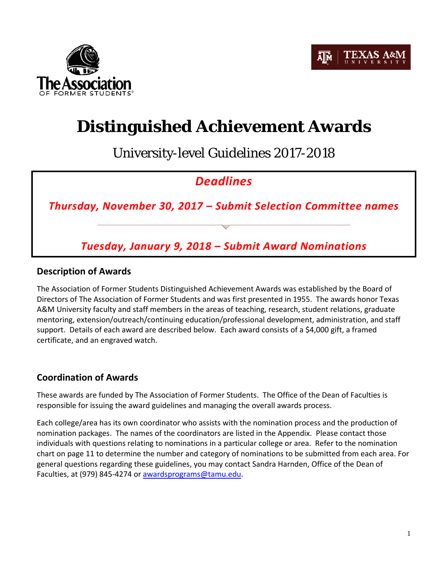



# **Distinguished Achievement Awards**

University-level Guidelines 2017-2018

# *Deadlines*

*Thursday, November 30, 2017 – Submit Selection Committee names*

*Tuesday, January 9, 2018 – Submit Award Nominations*

## **Description of Awards**

The Association of Former Students Distinguished Achievement Awards was established by the Board of Directors of The Association of Former Students and was first presented in 1955. The awards honor Texas A&M University faculty and staff members in the areas of teaching, research, student relations, graduate mentoring, extension/outreach/continuing education/professional development, administration, and staff support. Details of each award are described below. Each award consists of a \$4,000 gift, a framed certificate, and an engraved watch.

## **Coordination of Awards**

These awards are funded by The Association of Former Students. The Office of the Dean of Faculties is responsible for issuing the award guidelines and managing the overall awards process.

Each college/area has its own coordinator who assists with the nomination process and the production of nomination packages. The names of the coordinators are listed in the Appendix. Please contact those individuals with questions relating to nominations in a particular college or area. Refer to the nomination chart on page 11 to determine the number and category of nominations to be submitted from each area. For general questions regarding these guidelines, you may contact Sandra Harnden, Office of the Dean of Faculties, at (979) 845-4274 or [awardsprograms@tamu.edu.](mailto:awardsprograms@tamu.edu)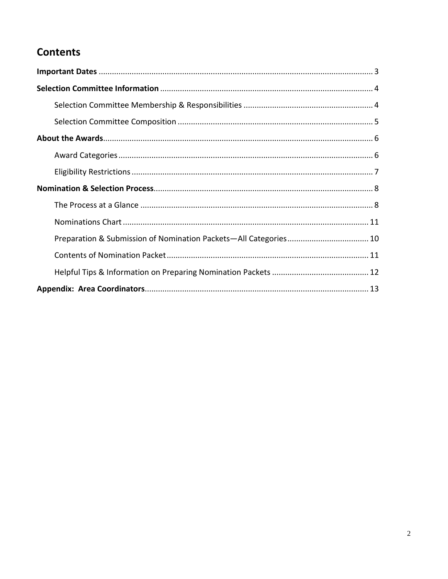# **Contents**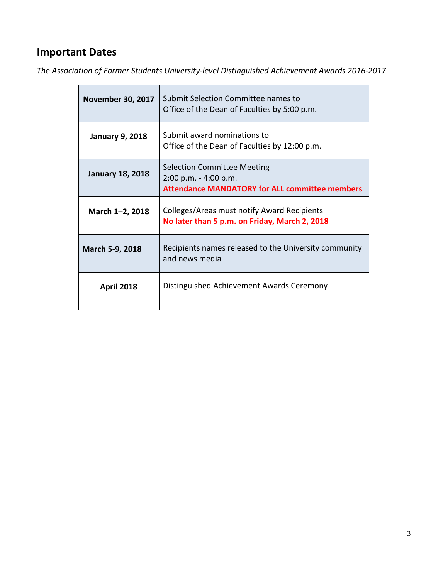# **Important Dates**

*The Association of Former Students University-level Distinguished Achievement Awards 2016-2017*

| <b>November 30, 2017</b> | Submit Selection Committee names to<br>Office of the Dean of Faculties by 5:00 p.m.                                  |
|--------------------------|----------------------------------------------------------------------------------------------------------------------|
| <b>January 9, 2018</b>   | Submit award nominations to<br>Office of the Dean of Faculties by 12:00 p.m.                                         |
| <b>January 18, 2018</b>  | <b>Selection Committee Meeting</b><br>2:00 p.m. - 4:00 p.m.<br><b>Attendance MANDATORY for ALL committee members</b> |
| March 1-2, 2018          | Colleges/Areas must notify Award Recipients<br>No later than 5 p.m. on Friday, March 2, 2018                         |
| March 5-9, 2018          | Recipients names released to the University community<br>and news media                                              |
| <b>April 2018</b>        | Distinguished Achievement Awards Ceremony                                                                            |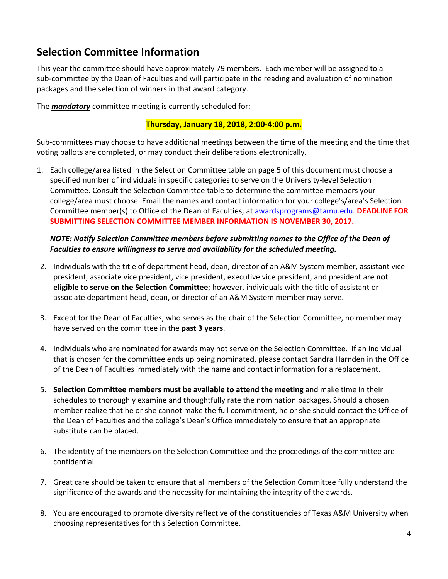# **Selection Committee Information**

This year the committee should have approximately 79 members. Each member will be assigned to a sub-committee by the Dean of Faculties and will participate in the reading and evaluation of nomination packages and the selection of winners in that award category.

The *mandatory* committee meeting is currently scheduled for:

## **Thursday, January 18, 2018, 2:00-4:00 p.m.**

Sub-committees may choose to have additional meetings between the time of the meeting and the time that voting ballots are completed, or may conduct their deliberations electronically.

1. Each college/area listed in the Selection Committee table on page 5 of this document must choose a specified number of individuals in specific categories to serve on the University-level Selection Committee. Consult the Selection Committee table to determine the committee members your college/area must choose. Email the names and contact information for your college's/area's Selection Committee member(s) to Office of the Dean of Faculties, at [awardsprograms@tamu.edu.](mailto:awardsprograms@tamu.edu) **DEADLINE FOR SUBMITTING SELECTION COMMITTEE MEMBER INFORMATION IS NOVEMBER 30, 2017.**

## *NOTE: Notify Selection Committee members before submitting names to the Office of the Dean of Faculties to ensure willingness to serve and availability for the scheduled meeting.*

- 2. Individuals with the title of department head, dean, director of an A&M System member, assistant vice president, associate vice president, vice president, executive vice president, and president are **not eligible to serve on the Selection Committee**; however, individuals with the title of assistant or associate department head, dean, or director of an A&M System member may serve.
- 3. Except for the Dean of Faculties, who serves as the chair of the Selection Committee, no member may have served on the committee in the **past 3 years**.
- 4. Individuals who are nominated for awards may not serve on the Selection Committee. If an individual that is chosen for the committee ends up being nominated, please contact Sandra Harnden in the Office of the Dean of Faculties immediately with the name and contact information for a replacement.
- 5. **Selection Committee members must be available to attend the meeting** and make time in their schedules to thoroughly examine and thoughtfully rate the nomination packages. Should a chosen member realize that he or she cannot make the full commitment, he or she should contact the Office of the Dean of Faculties and the college's Dean's Office immediately to ensure that an appropriate substitute can be placed.
- 6. The identity of the members on the Selection Committee and the proceedings of the committee are confidential.
- 7. Great care should be taken to ensure that all members of the Selection Committee fully understand the significance of the awards and the necessity for maintaining the integrity of the awards.
- 8. You are encouraged to promote diversity reflective of the constituencies of Texas A&M University when choosing representatives for this Selection Committee.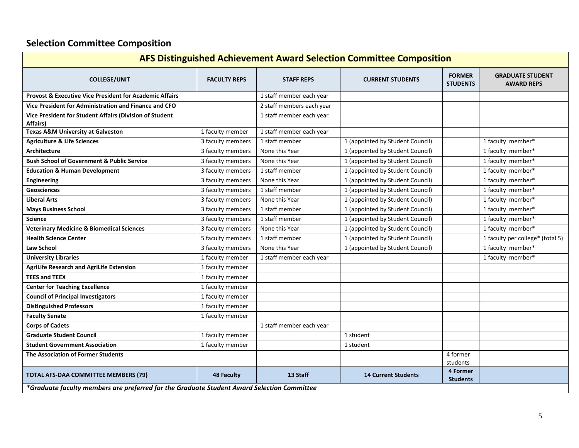# **Selection Committee Composition**

| <b>AFS Distinguished Achievement Award Selection Committee Composition</b>                 |                     |                           |                                  |                                  |                                              |  |  |  |
|--------------------------------------------------------------------------------------------|---------------------|---------------------------|----------------------------------|----------------------------------|----------------------------------------------|--|--|--|
| <b>COLLEGE/UNIT</b>                                                                        | <b>FACULTY REPS</b> | <b>STAFF REPS</b>         | <b>CURRENT STUDENTS</b>          | <b>FORMER</b><br><b>STUDENTS</b> | <b>GRADUATE STUDENT</b><br><b>AWARD REPS</b> |  |  |  |
| <b>Provost &amp; Executive Vice President for Academic Affairs</b>                         |                     | 1 staff member each year  |                                  |                                  |                                              |  |  |  |
| Vice President for Administration and Finance and CFO                                      |                     | 2 staff members each year |                                  |                                  |                                              |  |  |  |
| Vice President for Student Affairs (Division of Student<br>Affairs)                        |                     | 1 staff member each year  |                                  |                                  |                                              |  |  |  |
| <b>Texas A&amp;M University at Galveston</b>                                               | 1 faculty member    | 1 staff member each year  |                                  |                                  |                                              |  |  |  |
| <b>Agriculture &amp; Life Sciences</b>                                                     | 3 faculty members   | 1 staff member            | 1 (appointed by Student Council) |                                  | 1 faculty member*                            |  |  |  |
| Architecture                                                                               | 3 faculty members   | None this Year            | 1 (appointed by Student Council) |                                  | 1 faculty member*                            |  |  |  |
| <b>Bush School of Government &amp; Public Service</b>                                      | 3 faculty members   | None this Year            | 1 (appointed by Student Council) |                                  | 1 faculty member*                            |  |  |  |
| <b>Education &amp; Human Development</b>                                                   | 3 faculty members   | 1 staff member            | 1 (appointed by Student Council) |                                  | 1 faculty member*                            |  |  |  |
| <b>Engineering</b>                                                                         | 3 faculty members   | None this Year            | 1 (appointed by Student Council) |                                  | 1 faculty member*                            |  |  |  |
| <b>Geosciences</b>                                                                         | 3 faculty members   | 1 staff member            | 1 (appointed by Student Council) |                                  | 1 faculty member*                            |  |  |  |
| <b>Liberal Arts</b>                                                                        | 3 faculty members   | None this Year            | 1 (appointed by Student Council) |                                  | 1 faculty member*                            |  |  |  |
| <b>Mays Business School</b>                                                                | 3 faculty members   | 1 staff member            | 1 (appointed by Student Council) |                                  | 1 faculty member*                            |  |  |  |
| <b>Science</b>                                                                             | 3 faculty members   | 1 staff member            | 1 (appointed by Student Council) |                                  | 1 faculty member*                            |  |  |  |
| <b>Veterinary Medicine &amp; Biomedical Sciences</b>                                       | 3 faculty members   | None this Year            | 1 (appointed by Student Council) |                                  | 1 faculty member*                            |  |  |  |
| <b>Health Science Center</b>                                                               | 5 faculty members   | 1 staff member            | 1 (appointed by Student Council) |                                  | 1 faculty per college* (total 5)             |  |  |  |
| Law School                                                                                 | 3 faculty members   | None this Year            | 1 (appointed by Student Council) |                                  | 1 faculty member*                            |  |  |  |
| <b>University Libraries</b>                                                                | 1 faculty member    | 1 staff member each year  |                                  |                                  | 1 faculty member*                            |  |  |  |
| <b>AgriLife Research and AgriLife Extension</b>                                            | 1 faculty member    |                           |                                  |                                  |                                              |  |  |  |
| <b>TEES and TEEX</b>                                                                       | 1 faculty member    |                           |                                  |                                  |                                              |  |  |  |
| <b>Center for Teaching Excellence</b>                                                      | 1 faculty member    |                           |                                  |                                  |                                              |  |  |  |
| <b>Council of Principal Investigators</b>                                                  | 1 faculty member    |                           |                                  |                                  |                                              |  |  |  |
| <b>Distinguished Professors</b>                                                            | 1 faculty member    |                           |                                  |                                  |                                              |  |  |  |
| <b>Faculty Senate</b>                                                                      | 1 faculty member    |                           |                                  |                                  |                                              |  |  |  |
| <b>Corps of Cadets</b>                                                                     |                     | 1 staff member each year  |                                  |                                  |                                              |  |  |  |
| <b>Graduate Student Council</b>                                                            | 1 faculty member    |                           | 1 student                        |                                  |                                              |  |  |  |
| <b>Student Government Association</b>                                                      | 1 faculty member    |                           | 1 student                        |                                  |                                              |  |  |  |
| The Association of Former Students                                                         |                     |                           |                                  | 4 former<br>students             |                                              |  |  |  |
| TOTAL AFS-DAA COMMITTEE MEMBERS (79)                                                       | <b>48 Faculty</b>   | 13 Staff                  | <b>14 Current Students</b>       | 4 Former<br><b>Students</b>      |                                              |  |  |  |
| *Graduate faculty members are preferred for the Graduate Student Award Selection Committee |                     |                           |                                  |                                  |                                              |  |  |  |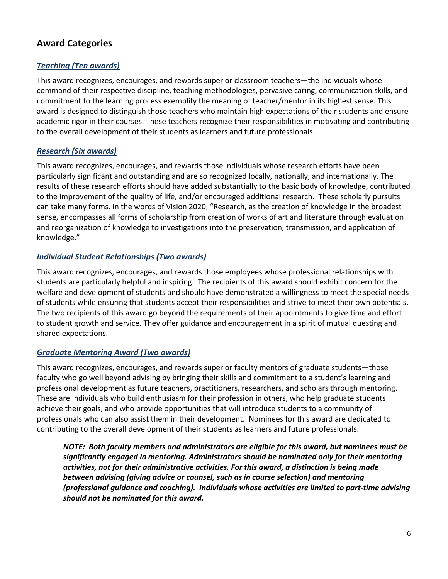## **Award Categories**

## *Teaching (Ten awards)*

This award recognizes, encourages, and rewards superior classroom teachers—the individuals whose command of their respective discipline, teaching methodologies, pervasive caring, communication skills, and commitment to the learning process exemplify the meaning of teacher/mentor in its highest sense. This award is designed to distinguish those teachers who maintain high expectations of their students and ensure academic rigor in their courses. These teachers recognize their responsibilities in motivating and contributing to the overall development of their students as learners and future professionals.

## *Research (Six awards)*

This award recognizes, encourages, and rewards those individuals whose research efforts have been particularly significant and outstanding and are so recognized locally, nationally, and internationally. The results of these research efforts should have added substantially to the basic body of knowledge, contributed to the improvement of the quality of life, and/or encouraged additional research. These scholarly pursuits can take many forms. In the words of Vision 2020, "Research, as the creation of knowledge in the broadest sense, encompasses all forms of scholarship from creation of works of art and literature through evaluation and reorganization of knowledge to investigations into the preservation, transmission, and application of knowledge."

## *Individual Student Relationships (Two awards)*

This award recognizes, encourages, and rewards those employees whose professional relationships with students are particularly helpful and inspiring. The recipients of this award should exhibit concern for the welfare and development of students and should have demonstrated a willingness to meet the special needs of students while ensuring that students accept their responsibilities and strive to meet their own potentials. The two recipients of this award go beyond the requirements of their appointments to give time and effort to student growth and service. They offer guidance and encouragement in a spirit of mutual questing and shared expectations.

## *Graduate Mentoring Award (Two awards)*

This award recognizes, encourages, and rewards superior faculty mentors of graduate students—those faculty who go well beyond advising by bringing their skills and commitment to a student's learning and professional development as future teachers, practitioners, researchers, and scholars through mentoring. These are individuals who build enthusiasm for their profession in others, who help graduate students achieve their goals, and who provide opportunities that will introduce students to a community of professionals who can also assist them in their development. Nominees for this award are dedicated to contributing to the overall development of their students as learners and future professionals.

*NOTE: Both faculty members and administrators are eligible for this award, but nominees must be significantly engaged in mentoring. Administrators should be nominated only for their mentoring activities, not for their administrative activities. For this award, a distinction is being made between advising (giving advice or counsel, such as in course selection) and mentoring (professional guidance and coaching). Individuals whose activities are limited to part-time advising should not be nominated for this award.*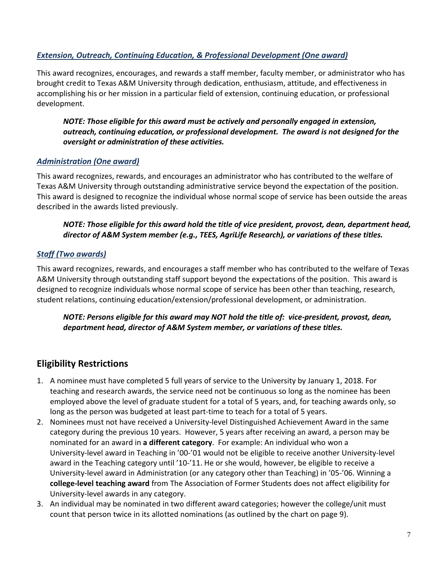## *Extension, Outreach, Continuing Education, & Professional Development (One award)*

This award recognizes, encourages, and rewards a staff member, faculty member, or administrator who has brought credit to Texas A&M University through dedication, enthusiasm, attitude, and effectiveness in accomplishing his or her mission in a particular field of extension, continuing education, or professional development.

*NOTE: Those eligible for this award must be actively and personally engaged in extension, outreach, continuing education, or professional development. The award is not designed for the oversight or administration of these activities.*

### *Administration (One award)*

This award recognizes, rewards, and encourages an administrator who has contributed to the welfare of Texas A&M University through outstanding administrative service beyond the expectation of the position. This award is designed to recognize the individual whose normal scope of service has been outside the areas described in the awards listed previously.

## *NOTE: Those eligible for this award hold the title of vice president, provost, dean, department head, director of A&M System member (e.g., TEES, AgriLife Research), or variations of these titles.*

## *Staff (Two awards)*

This award recognizes, rewards, and encourages a staff member who has contributed to the welfare of Texas A&M University through outstanding staff support beyond the expectations of the position. This award is designed to recognize individuals whose normal scope of service has been other than teaching, research, student relations, continuing education/extension/professional development, or administration.

## *NOTE: Persons eligible for this award may NOT hold the title of: vice-president, provost, dean, department head, director of A&M System member, or variations of these titles.*

## **Eligibility Restrictions**

- 1. A nominee must have completed 5 full years of service to the University by January 1, 2018. For teaching and research awards, the service need not be continuous so long as the nominee has been employed above the level of graduate student for a total of 5 years, and, for teaching awards only, so long as the person was budgeted at least part-time to teach for a total of 5 years.
- 2. Nominees must not have received a University-level Distinguished Achievement Award in the same category during the previous 10 years. However, 5 years after receiving an award, a person may be nominated for an award in **a different category**. For example: An individual who won a University-level award in Teaching in '00-'01 would not be eligible to receive another University-level award in the Teaching category until '10-'11. He or she would, however, be eligible to receive a University-level award in Administration (or any category other than Teaching) in '05-'06. Winning a **college-level teaching award** from The Association of Former Students does not affect eligibility for University-level awards in any category.
- 3. An individual may be nominated in two different award categories; however the college/unit must count that person twice in its allotted nominations (as outlined by the chart on page 9).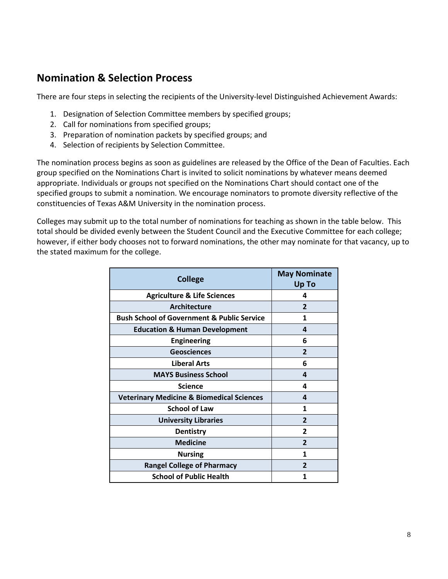## **Nomination & Selection Process**

There are four steps in selecting the recipients of the University-level Distinguished Achievement Awards:

- 1. Designation of Selection Committee members by specified groups;
- 2. Call for nominations from specified groups;
- 3. Preparation of nomination packets by specified groups; and
- 4. Selection of recipients by Selection Committee.

The nomination process begins as soon as guidelines are released by the Office of the Dean of Faculties. Each group specified on the Nominations Chart is invited to solicit nominations by whatever means deemed appropriate. Individuals or groups not specified on the Nominations Chart should contact one of the specified groups to submit a nomination. We encourage nominators to promote diversity reflective of the constituencies of Texas A&M University in the nomination process.

Colleges may submit up to the total number of nominations for teaching as shown in the table below. This total should be divided evenly between the Student Council and the Executive Committee for each college; however, if either body chooses not to forward nominations, the other may nominate for that vacancy, up to the stated maximum for the college.

| <b>College</b>                                        | <b>May Nominate</b><br>Up To |  |  |
|-------------------------------------------------------|------------------------------|--|--|
| <b>Agriculture &amp; Life Sciences</b>                | 4                            |  |  |
| Architecture                                          | $\mathbf{2}$                 |  |  |
| <b>Bush School of Government &amp; Public Service</b> | 1                            |  |  |
| <b>Education &amp; Human Development</b>              | 4                            |  |  |
| <b>Engineering</b>                                    | 6                            |  |  |
| <b>Geosciences</b>                                    | $\overline{2}$               |  |  |
| <b>Liberal Arts</b>                                   | 6                            |  |  |
| <b>MAYS Business School</b>                           | 4                            |  |  |
| <b>Science</b>                                        | 4                            |  |  |
| <b>Veterinary Medicine &amp; Biomedical Sciences</b>  | 4                            |  |  |
| <b>School of Law</b>                                  | 1                            |  |  |
| <b>University Libraries</b>                           | $\overline{2}$               |  |  |
| <b>Dentistry</b>                                      | 2                            |  |  |
| <b>Medicine</b>                                       | $\mathbf{2}$                 |  |  |
| <b>Nursing</b>                                        | 1                            |  |  |
| <b>Rangel College of Pharmacy</b>                     | $\overline{2}$               |  |  |
| <b>School of Public Health</b>                        | 1                            |  |  |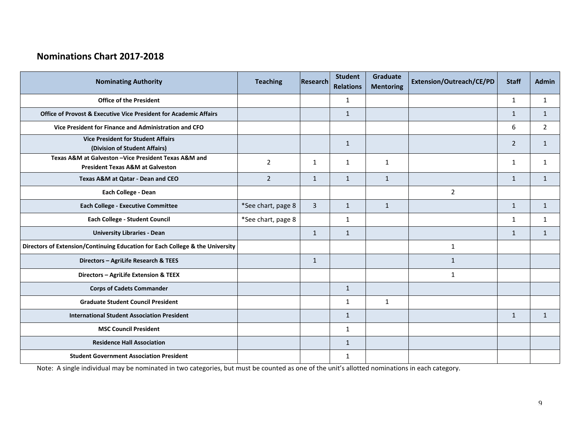## **Nominations Chart 2017-2018**

| <b>Nominating Authority</b>                                                                          | <b>Teaching</b>    | <b>Research</b> | <b>Student</b><br><b>Relations</b> | Graduate<br><b>Mentoring</b> | Extension/Outreach/CE/PD | <b>Staff</b>   | <b>Admin</b> |
|------------------------------------------------------------------------------------------------------|--------------------|-----------------|------------------------------------|------------------------------|--------------------------|----------------|--------------|
| <b>Office of the President</b>                                                                       |                    |                 | 1                                  |                              |                          | $\mathbf{1}$   | $\mathbf{1}$ |
| <b>Office of Provost &amp; Executive Vice President for Academic Affairs</b>                         |                    |                 | $\mathbf{1}$                       |                              |                          | $\mathbf{1}$   | $\mathbf{1}$ |
| Vice President for Finance and Administration and CFO                                                |                    |                 |                                    |                              |                          | 6              | 2            |
| <b>Vice President for Student Affairs</b><br>(Division of Student Affairs)                           |                    |                 | $\mathbf{1}$                       |                              |                          | $\overline{2}$ | $\mathbf{1}$ |
| Texas A&M at Galveston - Vice President Texas A&M and<br><b>President Texas A&amp;M at Galveston</b> | 2                  | $\mathbf{1}$    | 1                                  | $\mathbf{1}$                 |                          | $\mathbf{1}$   | 1            |
| Texas A&M at Qatar - Dean and CEO                                                                    | $\overline{2}$     | $\mathbf{1}$    | $\mathbf{1}$                       | $\mathbf{1}$                 |                          | $\mathbf{1}$   | $\mathbf{1}$ |
| Each College - Dean                                                                                  |                    |                 |                                    |                              | $\overline{2}$           |                |              |
| <b>Each College - Executive Committee</b>                                                            | *See chart, page 8 | $\overline{3}$  | $\mathbf{1}$                       | $\mathbf{1}$                 |                          | $\mathbf{1}$   | $\mathbf{1}$ |
| Each College - Student Council                                                                       | *See chart, page 8 |                 | $\mathbf{1}$                       |                              |                          | $\mathbf{1}$   | $\mathbf{1}$ |
| <b>University Libraries - Dean</b>                                                                   |                    | $\mathbf{1}$    | $\mathbf{1}$                       |                              |                          | $\mathbf{1}$   | $\mathbf{1}$ |
| Directors of Extension/Continuing Education for Each College & the University                        |                    |                 |                                    |                              | $\mathbf{1}$             |                |              |
| Directors - AgriLife Research & TEES                                                                 |                    | $\mathbf{1}$    |                                    |                              | $\mathbf{1}$             |                |              |
| Directors - AgriLife Extension & TEEX                                                                |                    |                 |                                    |                              | $\mathbf{1}$             |                |              |
| <b>Corps of Cadets Commander</b>                                                                     |                    |                 | $\mathbf{1}$                       |                              |                          |                |              |
| <b>Graduate Student Council President</b>                                                            |                    |                 | $\mathbf{1}$                       | $\mathbf{1}$                 |                          |                |              |
| <b>International Student Association President</b>                                                   |                    |                 | $\mathbf{1}$                       |                              |                          | $\mathbf{1}$   | $\mathbf{1}$ |
| <b>MSC Council President</b>                                                                         |                    |                 | $\mathbf{1}$                       |                              |                          |                |              |
| <b>Residence Hall Association</b>                                                                    |                    |                 | $\mathbf{1}$                       |                              |                          |                |              |
| <b>Student Government Association President</b>                                                      |                    |                 | $\mathbf{1}$                       |                              |                          |                |              |

Note: A single individual may be nominated in two categories, but must be counted as one of the unit's allotted nominations in each category.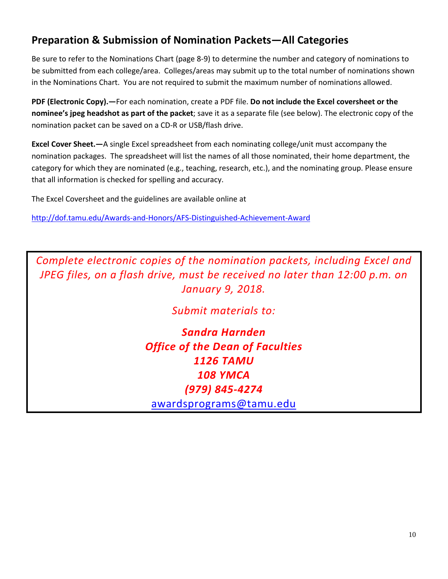## **Preparation & Submission of Nomination Packets—All Categories**

Be sure to refer to the Nominations Chart (page 8-9) to determine the number and category of nominations to be submitted from each college/area. Colleges/areas may submit up to the total number of nominations shown in the Nominations Chart. You are not required to submit the maximum number of nominations allowed.

**PDF (Electronic Copy).—**For each nomination, create a PDF file. **Do not include the Excel coversheet or the nominee's jpeg headshot as part of the packet**; save it as a separate file (see below). The electronic copy of the nomination packet can be saved on a CD-R or USB/flash drive.

**Excel Cover Sheet.—**A single Excel spreadsheet from each nominating college/unit must accompany the nomination packages. The spreadsheet will list the names of all those nominated, their home department, the category for which they are nominated (e.g., teaching, research, etc.), and the nominating group. Please ensure that all information is checked for spelling and accuracy.

The Excel Coversheet and the guidelines are available online at

<http://dof.tamu.edu/Awards-and-Honors/AFS-Distinguished-Achievement-Award>

*Complete electronic copies of the nomination packets, including Excel and JPEG files, on a flash drive, must be received no later than 12:00 p.m. on January 9, 2018.*

*Submit materials to:*

*Sandra Harnden Office of the Dean of Faculties 1126 TAMU 108 YMCA (979) 845-4274* [awardsprograms@tamu.edu](mailto:awardsprograms@tamu.edu)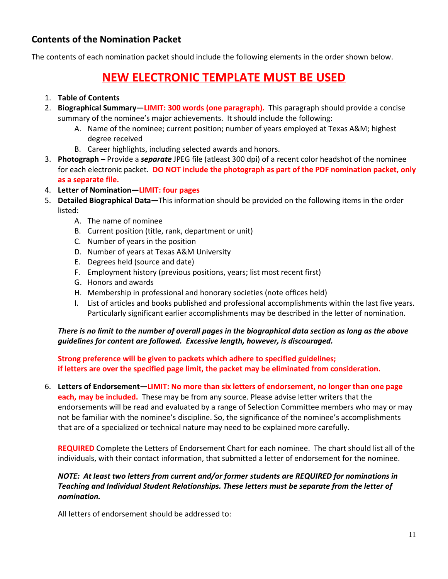## **Contents of the Nomination Packet**

The contents of each nomination packet should include the following elements in the order shown below.

# **NEW ELECTRONIC TEMPLATE MUST BE USED**

## 1. **Table of Contents**

- 2. **Biographical Summary—LIMIT: 300 words (one paragraph).** This paragraph should provide a concise summary of the nominee's major achievements. It should include the following:
	- A. Name of the nominee; current position; number of years employed at Texas A&M; highest degree received
	- B. Career highlights, including selected awards and honors.
- 3. **Photograph –** Provide a *separate* JPEG file (atleast 300 dpi) of a recent color headshot of the nominee for each electronic packet. **DO NOT include the photograph as part of the PDF nomination packet, only as a separate file.**
- 4. **Letter of Nomination—LIMIT: four pages**
- 5. **Detailed Biographical Data—**This information should be provided on the following items in the order listed:
	- A. The name of nominee
	- B. Current position (title, rank, department or unit)
	- C. Number of years in the position
	- D. Number of years at Texas A&M University
	- E. Degrees held (source and date)
	- F. Employment history (previous positions, years; list most recent first)
	- G. Honors and awards
	- H. Membership in professional and honorary societies (note offices held)
	- I. List of articles and books published and professional accomplishments within the last five years. Particularly significant earlier accomplishments may be described in the letter of nomination.

## *There is no limit to the number of overall pages in the biographical data section as long as the above guidelines for content are followed. Excessive length, however, is discouraged.*

### **Strong preference will be given to packets which adhere to specified guidelines; if letters are over the specified page limit, the packet may be eliminated from consideration.**

6. **Letters of Endorsement—LIMIT: No more than six letters of endorsement, no longer than one page each, may be included.** These may be from any source. Please advise letter writers that the endorsements will be read and evaluated by a range of Selection Committee members who may or may not be familiar with the nominee's discipline. So, the significance of the nominee's accomplishments that are of a specialized or technical nature may need to be explained more carefully.

**REQUIRED** Complete the Letters of Endorsement Chart for each nominee. The chart should list all of the individuals, with their contact information, that submitted a letter of endorsement for the nominee.

## *NOTE: At least two letters from current and/or former students are REQUIRED for nominations in Teaching and Individual Student Relationships. These letters must be separate from the letter of nomination.*

All letters of endorsement should be addressed to: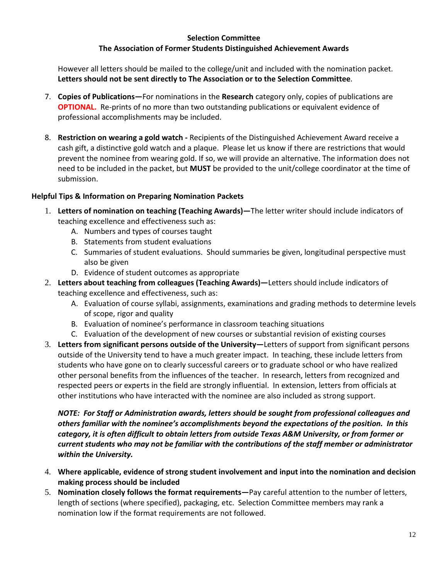### **Selection Committee The Association of Former Students Distinguished Achievement Awards**

However all letters should be mailed to the college/unit and included with the nomination packet. **Letters should not be sent directly to The Association or to the Selection Committee**.

- 7. **Copies of Publications—**For nominations in the **Research** category only, copies of publications are **OPTIONAL.** Re-prints of no more than two outstanding publications or equivalent evidence of professional accomplishments may be included.
- 8. **Restriction on wearing a gold watch -** Recipients of the Distinguished Achievement Award receive a cash gift, a distinctive gold watch and a plaque. Please let us know if there are restrictions that would prevent the nominee from wearing gold. If so, we will provide an alternative. The information does not need to be included in the packet, but **MUST** be provided to the unit/college coordinator at the time of submission.

## **Helpful Tips & Information on Preparing Nomination Packets**

- 1. **Letters of nomination on teaching (Teaching Awards)—**The letter writer should include indicators of teaching excellence and effectiveness such as:
	- A. Numbers and types of courses taught
	- B. Statements from student evaluations
	- C. Summaries of student evaluations. Should summaries be given, longitudinal perspective must also be given
	- D. Evidence of student outcomes as appropriate
- 2. **Letters about teaching from colleagues (Teaching Awards)—**Letters should include indicators of teaching excellence and effectiveness, such as:
	- A. Evaluation of course syllabi, assignments, examinations and grading methods to determine levels of scope, rigor and quality
	- B. Evaluation of nominee's performance in classroom teaching situations
	- C. Evaluation of the development of new courses or substantial revision of existing courses
- 3. **Letters from significant persons outside of the University—**Letters of support from significant persons outside of the University tend to have a much greater impact. In teaching, these include letters from students who have gone on to clearly successful careers or to graduate school or who have realized other personal benefits from the influences of the teacher. In research, letters from recognized and respected peers or experts in the field are strongly influential. In extension, letters from officials at other institutions who have interacted with the nominee are also included as strong support.

*NOTE: For Staff or Administration awards, letters should be sought from professional colleagues and others familiar with the nominee's accomplishments beyond the expectations of the position. In this category, it is often difficult to obtain letters from outside Texas A&M University, or from former or current students who may not be familiar with the contributions of the staff member or administrator within the University.*

- 4. **Where applicable, evidence of strong student involvement and input into the nomination and decision making process should be included**
- 5. **Nomination closely follows the format requirements—**Pay careful attention to the number of letters, length of sections (where specified), packaging, etc. Selection Committee members may rank a nomination low if the format requirements are not followed.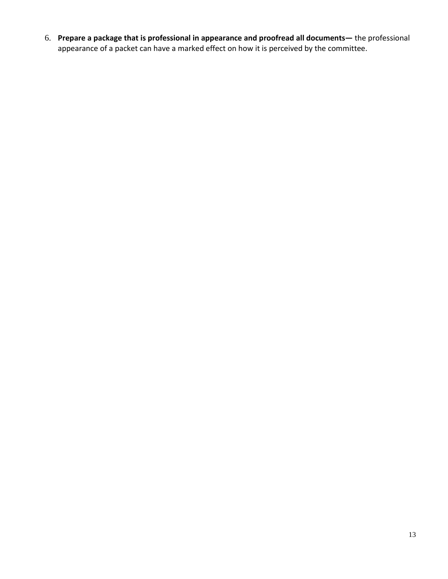6. **Prepare a package that is professional in appearance and proofread all documents—** the professional appearance of a packet can have a marked effect on how it is perceived by the committee.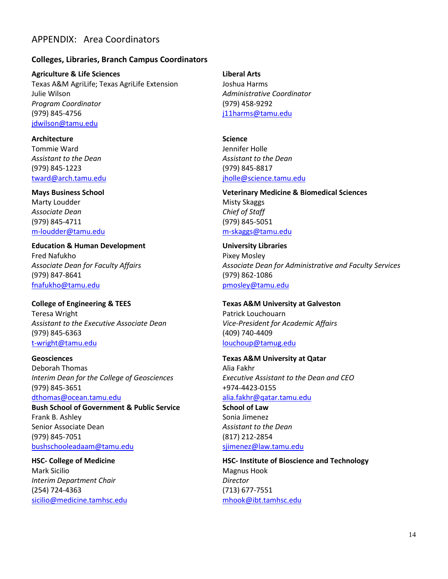## APPENDIX: Area Coordinators

#### **Colleges, Libraries, Branch Campus Coordinators**

**Agriculture & Life Sciences** Texas A&M AgriLife; Texas AgriLife Extension Julie Wilson *Program Coordinator* (979) 845-4756 [jdwilson@tamu.edu](mailto:jdwilson@tamu.edu)

**Architecture** Tommie Ward *Assistant to the Dean* (979) 845-1223 [tward@arch.tamu.edu](mailto:tward@arch.tamu.edu)

**Mays Business School** Marty Loudder *Associate Dean* (979) 845-4711 [m-loudder@tamu.edu](mailto:m-loudder@tamu.edu)

**Education & Human Development** Fred Nafukho *Associate Dean for Faculty Affairs* (979) 847-8641 [fnafukho@tamu.edu](mailto:fnafukho@tamu.edu)

**College of Engineering & TEES** Teresa Wright *Assistant to the Executive Associate Dean* (979) 845-6363 [t-wright@tamu.edu](mailto:t-wright@tamu.edu)

**Geosciences** Deborah Thomas *Interim Dean for the College of Geosciences* (979) 845-3651 [dthomas@ocean.tamu.edu](mailto:dthomas@ocean.tamu.edu)

**Bush School of Government & Public Service** Frank B. Ashley Senior Associate Dean (979) 845-7051 [bushschooleadaam@tamu.edu](mailto:bushschooleadaam@tamu.edu)

**HSC- College of Medicine** Mark Sicilio *Interim Department Chair* (254) 724-4363 [sicilio@medicine.tamhsc.edu](mailto:sicilio@medicine.tamhsc.edu) **Liberal Arts**

Joshua Harms *Administrative Coordinator* (979) 458-9292 [j11harms@tamu.edu](mailto:j11harms@tamu.edu)

**Science** Jennifer Holle *Assistant to the Dean* (979) 845-8817 [jholle@science.tamu.edu](mailto:jholle@science.tamu.edu)

**Veterinary Medicine & Biomedical Sciences** Misty Skaggs *Chief of Staff* (979) 845-5051 m-skaggs@tamu.edu

**University Libraries** Pixey Mosley *Associate Dean for Administrative and Faculty Services* (979) 862-1086 [pmosley@tamu.edu](mailto:pmosley@tamu.edu)

**Texas A&M University at Galveston** Patrick Louchouarn *Vice-President for Academic Affairs* (409) 740-4409 [louchoup@tamug.edu](mailto:louchoup@tamug.edu)

**Texas A&M University at Qatar** Alia Fakhr *Executive Assistant to the Dean and CEO* +974-4423-0155 [alia.fakhr@qatar.tamu.edu](mailto:alia.fakhr@qatar.tamu.edu)

**School of Law** Sonia Jimenez *Assistant to the Dean* (817) 212-2854 [sjimenez@law.tamu.edu](mailto:sjimenez@law.tamu.edu)

**HSC- Institute of Bioscience and Technology** Magnus Hook *Director*  (713) 677-7551 [mhook@ibt.tamhsc.edu](mailto:mhook@ibt.tamhsc.edu)